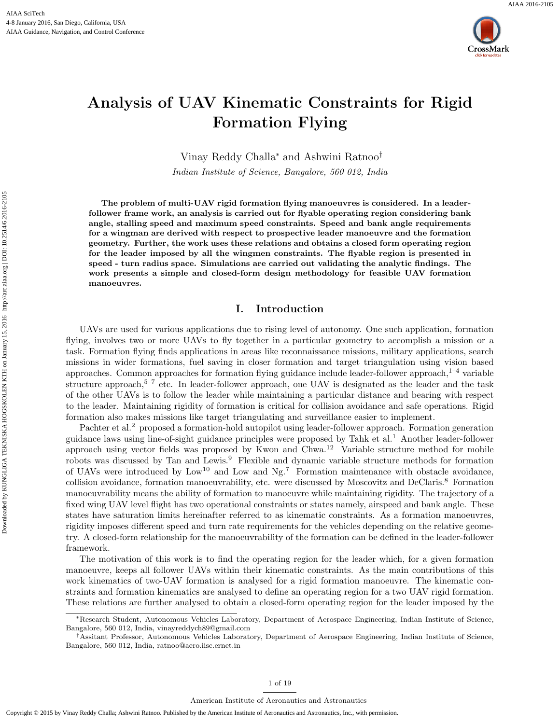



# Analysis of UAV Kinematic Constraints for Rigid Formation Flying

Vinay Reddy Challa<sup>∗</sup> and Ashwini Ratnoo†

Indian Institute of Science, Bangalore, 560 012, India

The problem of multi-UAV rigid formation flying manoeuvres is considered. In a leaderfollower frame work, an analysis is carried out for flyable operating region considering bank angle, stalling speed and maximum speed constraints. Speed and bank angle requirements for a wingman are derived with respect to prospective leader manoeuvre and the formation geometry. Further, the work uses these relations and obtains a closed form operating region for the leader imposed by all the wingmen constraints. The flyable region is presented in speed - turn radius space. Simulations are carried out validating the analytic findings. The work presents a simple and closed-form design methodology for feasible UAV formation manoeuvres.

### I. Introduction

UAVs are used for various applications due to rising level of autonomy. One such application, formation flying, involves two or more UAVs to fly together in a particular geometry to accomplish a mission or a task. Formation flying finds applications in areas like reconnaissance missions, military applications, search missions in wider formations, fuel saving in closer formation and target triangulation using vision based approaches. Common approaches for formation flying guidance include leader-follower approach, $1-4$  variable structure approach, $5-7$  etc. In leader-follower approach, one UAV is designated as the leader and the task of the other UAVs is to follow the leader while maintaining a particular distance and bearing with respect to the leader. Maintaining rigidity of formation is critical for collision avoidance and safe operations. Rigid formation also makes missions like target triangulating and surveillance easier to implement.

Pachter et al.<sup>2</sup> proposed a formation-hold autopilot using leader-follower approach. Formation generation guidance laws using line-of-sight guidance principles were proposed by Tahk et al.<sup>1</sup> Another leader-follower approach using vector fields was proposed by Kwon and  $Chwa<sup>12</sup>$  Variable structure method for mobile robots was discussed by Tan and Lewis.<sup>9</sup> Flexible and dynamic variable structure methods for formation of UAVs were introduced by  $Low^{10}$  and  $Low$  and  $Ng<sup>7</sup>$ . Formation maintenance with obstacle avoidance, collision avoidance, formation manoeuvrability, etc. were discussed by Moscovitz and DeClaris.<sup>8</sup> Formation manoeuvrability means the ability of formation to manoeuvre while maintaining rigidity. The trajectory of a fixed wing UAV level flight has two operational constraints or states namely, airspeed and bank angle. These states have saturation limits hereinafter referred to as kinematic constraints. As a formation manoeuvres, rigidity imposes different speed and turn rate requirements for the vehicles depending on the relative geometry. A closed-form relationship for the manoeuvrability of the formation can be defined in the leader-follower framework.

The motivation of this work is to find the operating region for the leader which, for a given formation manoeuvre, keeps all follower UAVs within their kinematic constraints. As the main contributions of this work kinematics of two-UAV formation is analysed for a rigid formation manoeuvre. The kinematic constraints and formation kinematics are analysed to define an operating region for a two UAV rigid formation. These relations are further analysed to obtain a closed-form operating region for the leader imposed by the

<sup>∗</sup>Research Student, Autonomous Vehicles Laboratory, Department of Aerospace Engineering, Indian Institute of Science, Bangalore, 560 012, India, vinayreddych89@gmail.com

<sup>†</sup>Assitant Professor, Autonomous Vehicles Laboratory, Department of Aerospace Engineering, Indian Institute of Science, Bangalore, 560 012, India, ratnoo@aero.iisc.ernet.in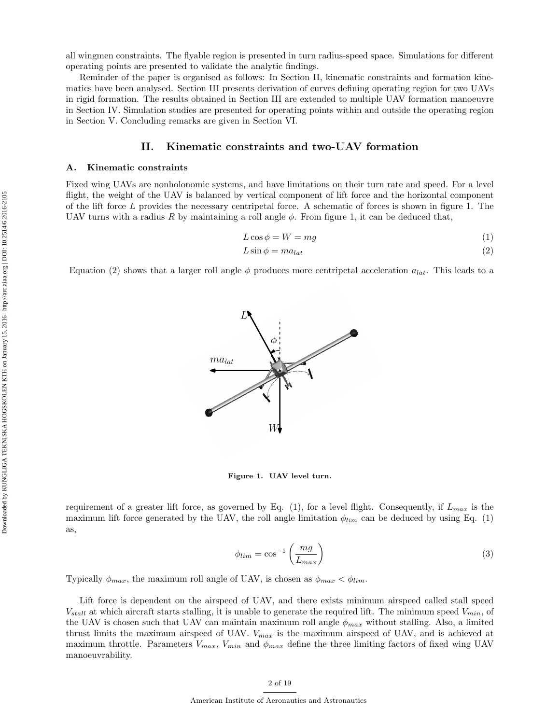all wingmen constraints. The flyable region is presented in turn radius-speed space. Simulations for different operating points are presented to validate the analytic findings.

Reminder of the paper is organised as follows: In Section II, kinematic constraints and formation kinematics have been analysed. Section III presents derivation of curves defining operating region for two UAVs in rigid formation. The results obtained in Section III are extended to multiple UAV formation manoeuvre in Section IV. Simulation studies are presented for operating points within and outside the operating region in Section V. Concluding remarks are given in Section VI.

### II. Kinematic constraints and two-UAV formation

### A. Kinematic constraints

Fixed wing UAVs are nonholonomic systems, and have limitations on their turn rate and speed. For a level flight, the weight of the UAV is balanced by vertical component of lift force and the horizontal component of the lift force L provides the necessary centripetal force. A schematic of forces is shown in figure 1. The UAV turns with a radius R by maintaining a roll angle  $\phi$ . From figure 1, it can be deduced that,

$$
L\cos\phi = W = mg\tag{1}
$$

$$
L\sin\phi = ma_{lat} \tag{2}
$$

Equation (2) shows that a larger roll angle  $\phi$  produces more centripetal acceleration  $a_{lat}$ . This leads to a



Figure 1. UAV level turn.

requirement of a greater lift force, as governed by Eq. (1), for a level flight. Consequently, if  $L_{max}$  is the maximum lift force generated by the UAV, the roll angle limitation  $\phi_{lim}$  can be deduced by using Eq. (1) as,

$$
\phi_{lim} = \cos^{-1}\left(\frac{mg}{L_{max}}\right) \tag{3}
$$

Typically  $\phi_{max}$ , the maximum roll angle of UAV, is chosen as  $\phi_{max} < \phi_{lim}$ .

Lift force is dependent on the airspeed of UAV, and there exists minimum airspeed called stall speed  $V_{stall}$  at which aircraft starts stalling, it is unable to generate the required lift. The minimum speed  $V_{min}$ , of the UAV is chosen such that UAV can maintain maximum roll angle  $\phi_{max}$  without stalling. Also, a limited thrust limits the maximum airspeed of UAV.  $V_{max}$  is the maximum airspeed of UAV, and is achieved at maximum throttle. Parameters  $V_{max}$ ,  $V_{min}$  and  $\phi_{max}$  define the three limiting factors of fixed wing UAV manoeuvrability.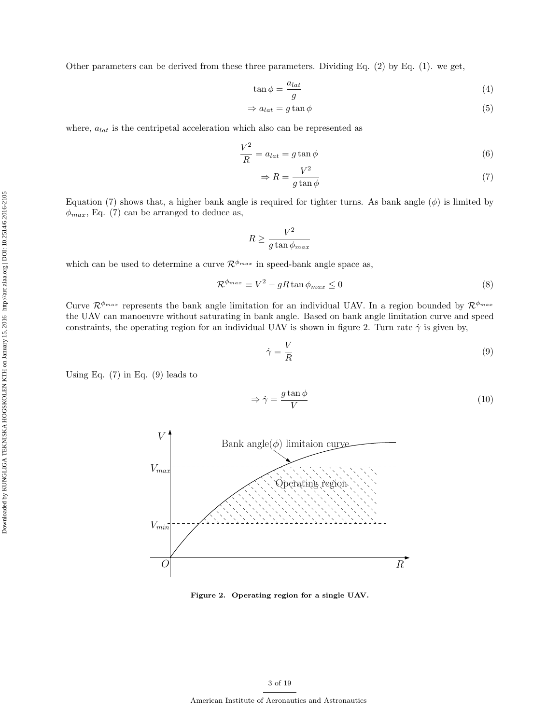Other parameters can be derived from these three parameters. Dividing Eq. (2) by Eq. (1). we get,

$$
\tan \phi = \frac{a_{lat}}{g} \tag{4}
$$

$$
\Rightarrow a_{lat} = g \tan \phi \tag{5}
$$

where,  $a_{lat}$  is the centripetal acceleration which also can be represented as

$$
\frac{V^2}{R} = a_{lat} = g \tan \phi \tag{6}
$$

$$
\Rightarrow R = \frac{V^2}{g \tan \phi} \tag{7}
$$

Equation (7) shows that, a higher bank angle is required for tighter turns. As bank angle  $(\phi)$  is limited by  $\phi_{max}$ , Eq. (7) can be arranged to deduce as,

$$
R \ge \frac{V^2}{g\tan\phi_{max}}
$$

which can be used to determine a curve  $\mathcal{R}^{\phi_{max}}$  in speed-bank angle space as,

$$
\mathcal{R}^{\phi_{max}} \equiv V^2 - gR \tan \phi_{max} \le 0 \tag{8}
$$

Curve  $\mathcal{R}^{\phi_{max}}$  represents the bank angle limitation for an individual UAV. In a region bounded by  $\mathcal{R}^{\phi_{max}}$ the UAV can manoeuvre without saturating in bank angle. Based on bank angle limitation curve and speed constraints, the operating region for an individual UAV is shown in figure 2. Turn rate  $\dot{\gamma}$  is given by,

$$
\dot{\gamma} = \frac{V}{R} \tag{9}
$$

Using Eq.  $(7)$  in Eq.  $(9)$  leads to

$$
\Rightarrow \dot{\gamma} = \frac{g \tan \phi}{V} \tag{10}
$$



Figure 2. Operating region for a single UAV.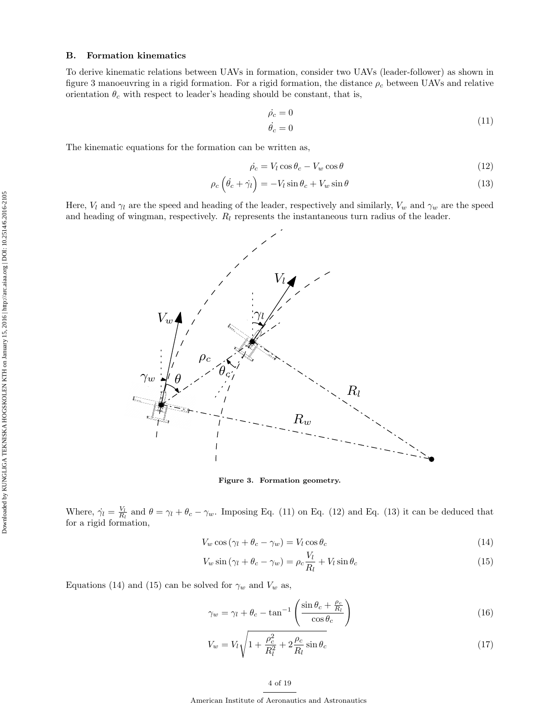### B. Formation kinematics

To derive kinematic relations between UAVs in formation, consider two UAVs (leader-follower) as shown in figure 3 manoeuvring in a rigid formation. For a rigid formation, the distance  $\rho_c$  between UAVs and relative orientation  $\theta_c$  with respect to leader's heading should be constant, that is,

$$
\dot{\rho}_c = 0
$$
\n
$$
\dot{\theta}_c = 0
$$
\n(11)

The kinematic equations for the formation can be written as,

$$
\dot{\rho_c} = V_l \cos \theta_c - V_w \cos \theta \tag{12}
$$

$$
\rho_c \left( \dot{\theta}_c + \dot{\gamma}_l \right) = -V_l \sin \theta_c + V_w \sin \theta \tag{13}
$$

Here,  $V_l$  and  $\gamma_l$  are the speed and heading of the leader, respectively and similarly,  $V_w$  and  $\gamma_w$  are the speed and heading of wingman, respectively.  $R_l$  represents the instantaneous turn radius of the leader.



Figure 3. Formation geometry.

Where,  $\dot{\gamma}_l = \frac{V_l}{R_l}$  and  $\theta = \gamma_l + \theta_c - \gamma_w$ . Imposing Eq. (11) on Eq. (12) and Eq. (13) it can be deduced that for a rigid formation,

$$
V_w \cos(\gamma_l + \theta_c - \gamma_w) = V_l \cos \theta_c \tag{14}
$$

$$
V_w \sin(\gamma_l + \theta_c - \gamma_w) = \rho_c \frac{V_l}{R_l} + V_l \sin \theta_c \tag{15}
$$

Equations (14) and (15) can be solved for  $\gamma_w$  and  $V_w$  as,

$$
\gamma_w = \gamma_l + \theta_c - \tan^{-1} \left( \frac{\sin \theta_c + \frac{\rho_c}{R_l}}{\cos \theta_c} \right)
$$
\n(16)

$$
V_w = V_l \sqrt{1 + \frac{\rho_c^2}{R_l^2} + 2\frac{\rho_c}{R_l}\sin\theta_c}
$$
 (17)

### 4 of 19

American Institute of Aeronautics and Astronautics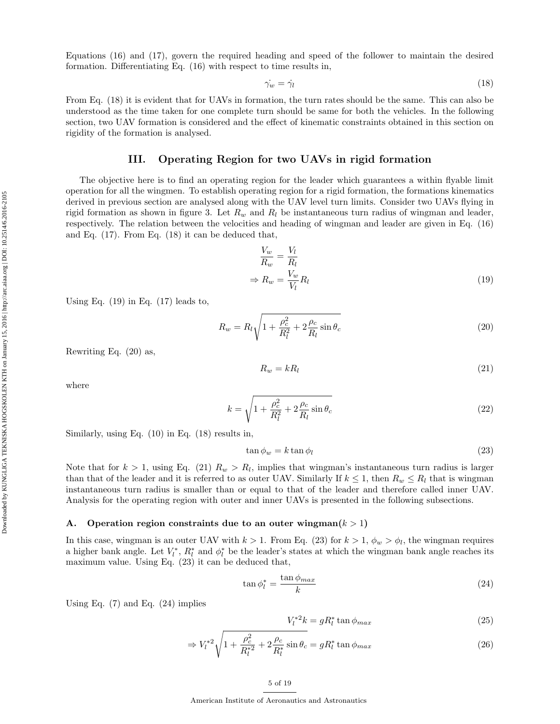Equations (16) and (17), govern the required heading and speed of the follower to maintain the desired formation. Differentiating Eq. (16) with respect to time results in,

$$
\dot{\gamma_w} = \dot{\gamma_l} \tag{18}
$$

From Eq. (18) it is evident that for UAVs in formation, the turn rates should be the same. This can also be understood as the time taken for one complete turn should be same for both the vehicles. In the following section, two UAV formation is considered and the effect of kinematic constraints obtained in this section on rigidity of the formation is analysed.

# III. Operating Region for two UAVs in rigid formation

The objective here is to find an operating region for the leader which guarantees a within flyable limit operation for all the wingmen. To establish operating region for a rigid formation, the formations kinematics derived in previous section are analysed along with the UAV level turn limits. Consider two UAVs flying in rigid formation as shown in figure 3. Let  $R_w$  and  $R_l$  be instantaneous turn radius of wingman and leader, respectively. The relation between the velocities and heading of wingman and leader are given in Eq. (16) and Eq. (17). From Eq. (18) it can be deduced that,

$$
\frac{V_w}{R_w} = \frac{V_l}{R_l}
$$
\n
$$
\Rightarrow R_w = \frac{V_w}{V_l} R_l \tag{19}
$$

Using Eq.  $(19)$  in Eq.  $(17)$  leads to,

$$
R_w = R_l \sqrt{1 + \frac{\rho_c^2}{R_l^2} + 2\frac{\rho_c}{R_l}\sin\theta_c}
$$
 (20)

Rewriting Eq. (20) as,

$$
R_w = kR_l \tag{21}
$$

where

$$
k = \sqrt{1 + \frac{\rho_c^2}{R_l^2} + 2\frac{\rho_c}{R_l}\sin\theta_c}
$$
\n(22)

Similarly, using Eq. (10) in Eq. (18) results in,

$$
\tan \phi_w = k \tan \phi_l \tag{23}
$$

Note that for  $k > 1$ , using Eq. (21)  $R_w > R_l$ , implies that wingman's instantaneous turn radius is larger than that of the leader and it is referred to as outer UAV. Similarly If  $k \leq 1$ , then  $R_w \leq R_l$  that is wingman instantaneous turn radius is smaller than or equal to that of the leader and therefore called inner UAV. Analysis for the operating region with outer and inner UAVs is presented in the following subsections.

### A. Operation region constraints due to an outer wingman $(k > 1)$

In this case, wingman is an outer UAV with  $k > 1$ . From Eq. (23) for  $k > 1$ ,  $\phi_w > \phi_l$ , the wingman requires a higher bank angle. Let  $V_l^*$ ,  $R_l^*$  and  $\phi_l^*$  be the leader's states at which the wingman bank angle reaches its maximum value. Using Eq. (23) it can be deduced that,

$$
\tan \phi_l^* = \frac{\tan \phi_{max}}{k} \tag{24}
$$

Using Eq.  $(7)$  and Eq.  $(24)$  implies

$$
V_l^{*2}k = gR_l^* \tan \phi_{max} \tag{25}
$$

$$
\Rightarrow V_l^{*2} \sqrt{1 + \frac{\rho_c^2}{R_l^{*2}} + 2\frac{\rho_c}{R_l^{*}}\sin\theta_c} = gR_l^{*} \tan\phi_{max}
$$
\n(26)

American Institute of Aeronautics and Astronautics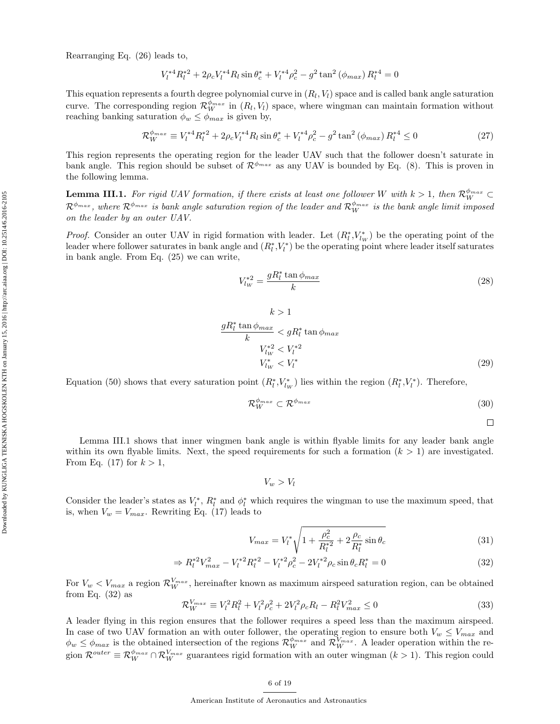Rearranging Eq. (26) leads to,

$$
V_l^{*4} R_l^{*2} + 2 \rho_c V_l^{*4} R_l \sin \theta_c^* + V_l^{*4} \rho_c^2 - g^2 \tan^2 (\phi_{max}) R_l^{*4} = 0
$$

This equation represents a fourth degree polynomial curve in  $(R_l, V_l)$  space and is called bank angle saturation curve. The corresponding region  $\mathcal{R}_W^{\phi_{max}}$  in  $(R_l, V_l)$  space, where wingman can maintain formation without reaching banking saturation  $\phi_w \leq \phi_{max}$  is given by,

$$
\mathcal{R}_W^{\phi_{max}} \equiv V_l^{*4} R_l^{*2} + 2\rho_c V_l^{*4} R_l \sin \theta_c^* + V_l^{*4} \rho_c^2 - g^2 \tan^2 \left(\phi_{max}\right) R_l^{*4} \le 0 \tag{27}
$$

This region represents the operating region for the leader UAV such that the follower doesn't saturate in bank angle. This region should be subset of  $\mathcal{R}^{\phi_{max}}$  as any UAV is bounded by Eq. (8). This is proven in the following lemma.

**Lemma III.1.** For rigid UAV formation, if there exists at least one follower W with  $k > 1$ , then  $\mathcal{R}_W^{\phi_{max}} \subset$  $\mathcal{R}^{\phi_{max}}$ , where  $\mathcal{R}^{\phi_{max}}$  is bank angle saturation region of the leader and  $\mathcal{R}_W^{\phi_{max}}$  is the bank angle limit imposed on the leader by an outer UAV.

*Proof.* Consider an outer UAV in rigid formation with leader. Let  $(R_l^*, V_{lw}^*)$  be the operating point of the leader where follower saturates in bank angle and  $(R_l^*, V_l^*)$  be the operating point where leader itself saturates in bank angle. From Eq. (25) we can write,

$$
V_{lw}^{*2} = \frac{gR_l^* \tan \phi_{max}}{k} \tag{28}
$$

$$
k > 1
$$
  
\n
$$
\frac{gR_l^* \tan \phi_{max}}{k} < gR_l^* \tan \phi_{max}
$$
  
\n
$$
V_{lw}^{*2} < V_l^{*2}
$$
  
\n
$$
V_{lw}^* < V_l^*
$$
\n(29)

Equation (50) shows that every saturation point  $(R_l^*, V_{lw}^*)$  lies within the region  $(R_l^*, V_l^*)$ . Therefore,

$$
\mathcal{R}_W^{\phi_{max}} \subset \mathcal{R}^{\phi_{max}} \tag{30}
$$

 $\Box$ 

Lemma III.1 shows that inner wingmen bank angle is within flyable limits for any leader bank angle within its own flyable limits. Next, the speed requirements for such a formation  $(k > 1)$  are investigated. From Eq. (17) for  $k > 1$ ,

$$
V_w > V_l
$$

Consider the leader's states as  $V_l^*$ ,  $R_l^*$  and  $\phi_l^*$  which requires the wingman to use the maximum speed, that is, when  $V_w = V_{max}$ . Rewriting Eq. (17) leads to

$$
V_{max} = V_l^* \sqrt{1 + \frac{\rho_c^2}{R_l^{*2}} + 2\frac{\rho_c}{R_l^*} \sin \theta_c}
$$
 (31)

$$
\Rightarrow R_l^{*2} V_{max}^2 - V_l^{*2} R_l^{*2} - V_l^{*2} \rho_c^2 - 2V_l^{*2} \rho_c \sin \theta_c R_l^* = 0 \tag{32}
$$

For  $V_w < V_{max}$  a region  $\mathcal{R}_{W}^{V_{max}}$ , hereinafter known as maximum airspeed saturation region, can be obtained from Eq.  $(32)$  as

$$
\mathcal{R}_W^{V_{max}} \equiv V_l^2 R_l^2 + V_l^2 \rho_c^2 + 2V_l^2 \rho_c R_l - R_l^2 V_{max}^2 \le 0 \tag{33}
$$

A leader flying in this region ensures that the follower requires a speed less than the maximum airspeed. In case of two UAV formation an with outer follower, the operating region to ensure both  $V_w \leq V_{max}$  and  $\phi_w \le \phi_{max}$  is the obtained intersection of the regions  $\mathcal{R}_{W}^{\phi_{max}}$  and  $\mathcal{R}_{W}^{\overline{V}_{max}}$ . A leader operation within the region  $\mathcal{R}^{outer} \equiv \mathcal{R}_W^{\phi_{max}} \cap \mathcal{R}_W^{V_{max}}$  guarantees rigid formation with an outer wingman  $(k > 1)$ . This region could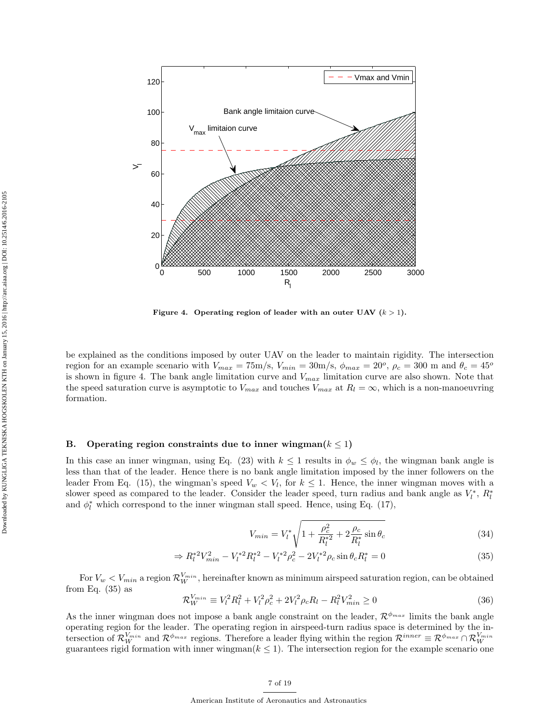

Figure 4. Operating region of leader with an outer UAV  $(k > 1)$ .

be explained as the conditions imposed by outer UAV on the leader to maintain rigidity. The intersection region for an example scenario with  $V_{max} = 75 \text{m/s}$ ,  $V_{min} = 30 \text{m/s}$ ,  $\phi_{max} = 20^{\degree}$ ,  $\rho_c = 300 \text{ m}$  and  $\theta_c = 45^{\degree}$ is shown in figure 4. The bank angle limitation curve and  $V_{max}$  limitation curve are also shown. Note that the speed saturation curve is asymptotic to  $V_{max}$  and touches  $V_{max}$  at  $R_l = \infty$ , which is a non-manoeuvring formation.

### B. Operating region constraints due to inner wingman( $k \leq 1$ )

In this case an inner wingman, using Eq. (23) with  $k \leq 1$  results in  $\phi_w \leq \phi_l$ , the wingman bank angle is less than that of the leader. Hence there is no bank angle limitation imposed by the inner followers on the leader From Eq. (15), the wingman's speed  $V_w < V_l$ , for  $k \leq 1$ . Hence, the inner wingman moves with a slower speed as compared to the leader. Consider the leader speed, turn radius and bank angle as  $V_l^*$ ,  $R_l^*$ and  $\phi_l^*$  which correspond to the inner wingman stall speed. Hence, using Eq. (17),

$$
V_{min} = V_l^* \sqrt{1 + \frac{\rho_c^2}{R_l^{*2}} + 2\frac{\rho_c}{R_l^{*2}}} \sin \theta_c
$$
 (34)

$$
\Rightarrow R_l^{*2} V_{min}^2 - V_l^{*2} R_l^{*2} - V_l^{*2} \rho_c^2 - 2V_l^{*2} \rho_c \sin \theta_c R_l^* = 0 \tag{35}
$$

For  $V_w < V_{min}$  a region  $\mathcal{R}_{W}^{V_{min}}$ , hereinafter known as minimum airspeed saturation region, can be obtained from Eq.  $(35)$  as

$$
\mathcal{R}_W^{V_{min}} \equiv V_l^2 R_l^2 + V_l^2 \rho_c^2 + 2V_l^2 \rho_c R_l - R_l^2 V_{min}^2 \ge 0 \tag{36}
$$

As the inner wingman does not impose a bank angle constraint on the leader,  $\mathcal{R}^{\phi_{max}}$  limits the bank angle operating region for the leader. The operating region in airspeed-turn radius space is determined by the intersection of  $\mathcal{R}_{W}^{V_{min}}$  and  $\mathcal{R}^{\phi_{max}}$  regions. Therefore a leader flying within the region  $\mathcal{R}^{inner} \equiv \mathcal{R}^{\phi_{max}} \cap \mathcal{R}_{W}^{V_{min}}$ guarantees rigid formation with inner wingman( $k \leq 1$ ). The intersection region for the example scenario one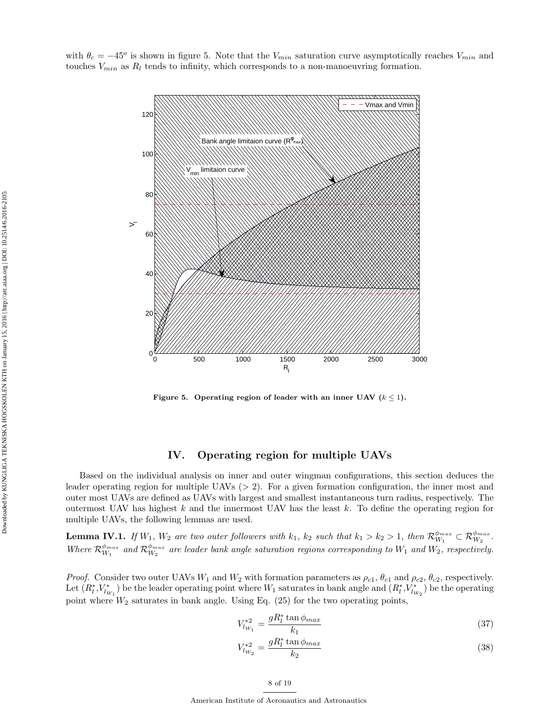with  $\theta_c = -45^{\circ}$  is shown in figure 5. Note that the  $V_{min}$  saturation curve asymptotically reaches  $V_{min}$  and touches  $V_{min}$  as  $R_l$  tends to infinity, which corresponds to a non-manoeuvring formation.



Figure 5. Operating region of leader with an inner UAV  $(k \leq 1)$ .

# IV. Operating region for multiple UAVs

Based on the individual analysis on inner and outer wingman configurations, this section deduces the leader operating region for multiple UAVs  $(> 2)$ . For a given formation configuration, the inner most and outer most UAVs are defined as UAVs with largest and smallest instantaneous turn radius, respectively. The outermost UAV has highest  $k$  and the innermost UAV has the least  $k$ . To define the operating region for multiple UAVs, the following lemmas are used.

**Lemma IV.1.** If  $W_1$ ,  $W_2$  are two outer followers with  $k_1$ ,  $k_2$  such that  $k_1 > k_2 > 1$ , then  $\mathcal{R}_{W_1}^{\phi_{max}} \subset \mathcal{R}_{W_2}^{\phi_{max}}$ . Where  $\mathcal{R}_{W_1}^{\phi_{max}}$  and  $\mathcal{R}_{W_2}^{\phi_{max}}$  are leader bank angle saturation regions corresponding to  $W_1$  and  $W_2$ , respectively.

*Proof.* Consider two outer UAVs  $W_1$  and  $W_2$  with formation parameters as  $\rho_{c1}$ ,  $\theta_{c1}$  and  $\rho_{c2}$ ,  $\theta_{c2}$ , respectively. Let  $(R_l^*,V_{w_1}^*)$  be the leader operating point where  $W_1$  saturates in bank angle and  $(R_l^*,V_{w_2}^*)$  be the operating point where  $W_2$  saturates in bank angle. Using Eq. (25) for the two operating points,

$$
V_{lw_1}^{*2} = \frac{gR_l^* \tan \phi_{max}}{k_1} \tag{37}
$$

$$
V_{l w_2}^{*2} = \frac{g R_l^* \tan \phi_{max}}{k_2} \tag{38}
$$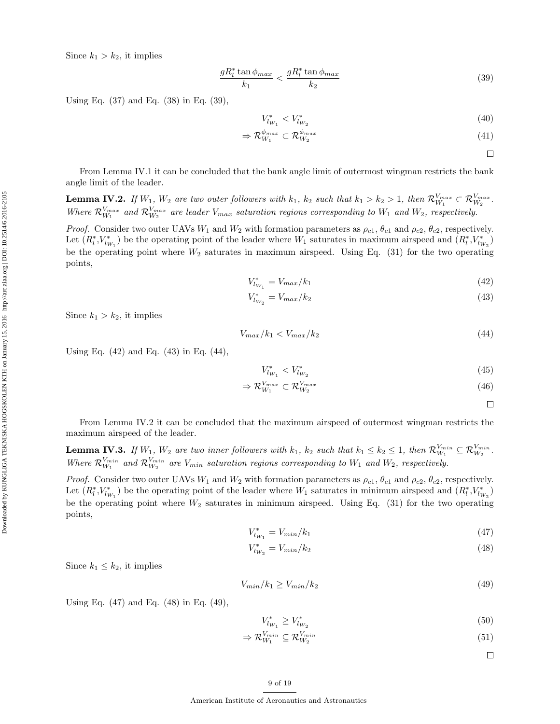Since  $k_1 > k_2$ , it implies

$$
\frac{gR_l^* \tan \phi_{max}}{k_1} < \frac{gR_l^* \tan \phi_{max}}{k_2} \tag{39}
$$

Using Eq. (37) and Eq. (38) in Eq. (39),

$$
V_{l_{W_1}}^* < V_{l_{W_2}}^* \tag{40}
$$

$$
\Rightarrow \mathcal{R}_{W_1}^{\phi_{max}} \subset \mathcal{R}_{W_2}^{\phi_{max}} \tag{41}
$$

 $\Box$ 

From Lemma IV.1 it can be concluded that the bank angle limit of outermost wingman restricts the bank angle limit of the leader.

**Lemma IV.2.** If  $W_1$ ,  $W_2$  are two outer followers with  $k_1$ ,  $k_2$  such that  $k_1 > k_2 > 1$ , then  $\mathcal{R}_{W_1}^{V_{max}} \subset \mathcal{R}_{W_2}^{V_{max}}$ . Where  $\mathcal{R}_{W_1}^{V_{max}}$  and  $\mathcal{R}_{W_2}^{V_{max}}$  are leader  $V_{max}$  saturation regions corresponding to  $W_1$  and  $W_2$ , respectively.

*Proof.* Consider two outer UAVs  $W_1$  and  $W_2$  with formation parameters as  $\rho_{c1}$ ,  $\theta_{c1}$  and  $\rho_{c2}$ ,  $\theta_{c2}$ , respectively. Let  $(R_l^*, V_{w_1}^*)$  be the operating point of the leader where  $W_1$  saturates in maximum airspeed and  $(R_l^*, V_{w_2}^*)$ be the operating point where  $W_2$  saturates in maximum airspeed. Using Eq. (31) for the two operating points,

$$
V_{l_{W_1}}^* = V_{max}/k_1 \tag{42}
$$

$$
V_{lw_2}^* = V_{max}/k_2
$$
\n(43)

Since  $k_1 > k_2$ , it implies

$$
V_{max}/k_1 < V_{max}/k_2 \tag{44}
$$

Using Eq. (42) and Eq. (43) in Eq. (44),

$$
V_{lw_1}^* < V_{lw_2}^* \tag{45}
$$

$$
\Rightarrow \mathcal{R}_{W_1}^{V_{max}} \subset \mathcal{R}_{W_2}^{V_{max}} \tag{46}
$$

 $\Box$ 

From Lemma IV.2 it can be concluded that the maximum airspeed of outermost wingman restricts the maximum airspeed of the leader.

**Lemma IV.3.** If  $W_1$ ,  $W_2$  are two inner followers with  $k_1$ ,  $k_2$  such that  $k_1 \leq k_2 \leq 1$ , then  $\mathcal{R}_{W_1}^{V_{min}} \subseteq \mathcal{R}_{W_2}^{V_{min}}$ . Where  $\mathcal{R}_{W_1}^{V_{min}}$  and  $\mathcal{R}_{W_2}^{V_{min}}$  are  $V_{min}$  saturation regions corresponding to  $W_1$  and  $W_2$ , respectively.

*Proof.* Consider two outer UAVs  $W_1$  and  $W_2$  with formation parameters as  $\rho_{c1}$ ,  $\theta_{c1}$  and  $\rho_{c2}$ ,  $\theta_{c2}$ , respectively. Let  $(R_l^*,V_{l_{W_1}}^*)$  be the operating point of the leader where  $W_1$  saturates in minimum airspeed and  $(R_l^*,V_{l_{W_2}}^*)$ be the operating point where  $W_2$  saturates in minimum airspeed. Using Eq. (31) for the two operating points,

$$
V_{l_{W_1}}^* = V_{min}/k_1 \tag{47}
$$

$$
V_{l_{W_2}}^* = V_{min}/k_2
$$
\n(48)

Since  $k_1 \leq k_2$ , it implies

$$
V_{min}/k_1 \ge V_{min}/k_2\tag{49}
$$

Using Eq. (47) and Eq. (48) in Eq. (49),

$$
V_{l_{W_1}}^* \ge V_{l_{W_2}}^* \tag{50}
$$

$$
\Rightarrow \mathcal{R}_{W_1}^{V_{min}} \subseteq \mathcal{R}_{W_2}^{V_{min}} \tag{51}
$$

 $\Box$ 

American Institute of Aeronautics and Astronautics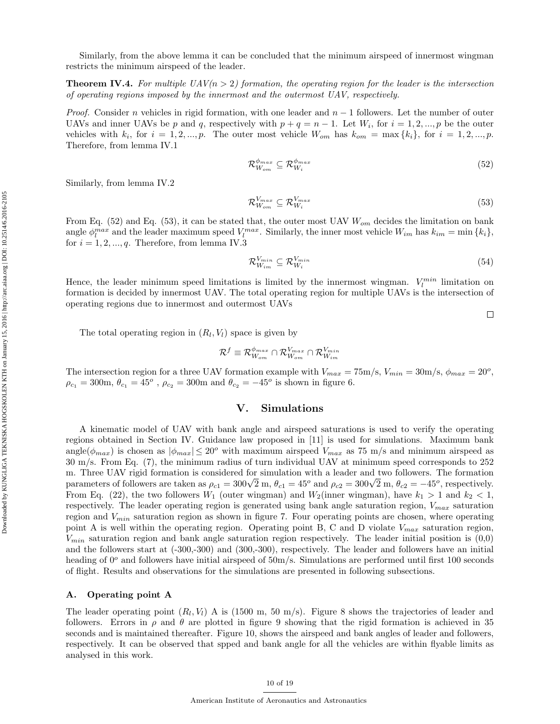Similarly, from the above lemma it can be concluded that the minimum airspeed of innermost wingman restricts the minimum airspeed of the leader.

**Theorem IV.4.** For multiple  $UAV(n > 2)$  formation, the operating region for the leader is the intersection of operating regions imposed by the innermost and the outermost UAV, respectively.

*Proof.* Consider n vehicles in rigid formation, with one leader and  $n-1$  followers. Let the number of outer UAVs and inner UAVs be p and q, respectively with  $p + q = n - 1$ . Let  $W_i$ , for  $i = 1, 2, ..., p$  be the outer vehicles with  $k_i$ , for  $i = 1, 2, ..., p$ . The outer most vehicle  $W_{om}$  has  $k_{om} = \max\{k_i\}$ , for  $i = 1, 2, ..., p$ . Therefore, from lemma IV.1

$$
\mathcal{R}_{W_{om}}^{\phi_{max}} \subseteq \mathcal{R}_{W_i}^{\phi_{max}} \tag{52}
$$

Similarly, from lemma IV.2

$$
\mathcal{R}_{W_{om}}^{V_{max}} \subseteq \mathcal{R}_{W_i}^{V_{max}} \tag{53}
$$

From Eq. (52) and Eq. (53), it can be stated that, the outer most UAV  $W_{om}$  decides the limitation on bank angle  $\phi_l^{max}$  and the leader maximum speed  $V_l^{max}$ . Similarly, the inner most vehicle  $W_{im}$  has  $k_{im} = \min\{k_i\}$ , for  $i = 1, 2, ..., q$ . Therefore, from lemma IV.3

$$
\mathcal{R}_{W_{im}}^{V_{min}} \subseteq \mathcal{R}_{W_i}^{V_{min}} \tag{54}
$$

Hence, the leader minimum speed limitations is limited by the innermost wingman.  $V_l^{min}$  limitation on formation is decided by innermost UAV. The total operating region for multiple UAVs is the intersection of operating regions due to innermost and outermost UAVs

 $\Box$ 

The total operating region in  $(R_l, V_l)$  space is given by

$$
\mathcal{R}^f\equiv\mathcal{R}_{W_{om}}^{\phi_{max}}\cap\mathcal{R}_{W_{om}}^{V_{max}}\cap\mathcal{R}_{W_{im}}^{V_{min}}
$$

The intersection region for a three UAV formation example with  $V_{max} = 75 \text{m/s}, V_{min} = 30 \text{m/s}, \phi_{max} = 20^{\circ}$ ,  $\rho_{c_1} = 300$ m,  $\theta_{c_1} = 45^o$ ,  $\rho_{c_2} = 300$ m and  $\theta_{c_2} = -45^o$  is shown in figure 6.

### V. Simulations

A kinematic model of UAV with bank angle and airspeed saturations is used to verify the operating regions obtained in Section IV. Guidance law proposed in [11] is used for simulations. Maximum bank angle( $\phi_{max}$ ) is chosen as  $|\phi_{max}| \leq 20^{\circ}$  with maximum airspeed  $V_{max}$  as 75 m/s and minimum airspeed as 30 m/s. From Eq. (7), the minimum radius of turn individual UAV at minimum speed corresponds to 252 m. Three UAV rigid formation is considered for simulation with a leader and two followers. The formation m. Three UAV rigid formation is considered for simulation with a leader and two followers. The formation parameters of followers are taken as  $\rho_{c1} = 300\sqrt{2}$  m,  $\theta_{c1} = 45^o$  and  $\rho_{c2} = 300\sqrt{2}$  m,  $\theta_{c2} = -45^o$ , From Eq. (22), the two followers  $W_1$  (outer wingman) and  $W_2$ (inner wingman), have  $k_1 > 1$  and  $k_2 < 1$ , respectively. The leader operating region is generated using bank angle saturation region,  $V_{max}$  saturation region and  $V_{min}$  saturation region as shown in figure 7. Four operating points are chosen, where operating point A is well within the operating region. Operating point B, C and D violate  $V_{max}$  saturation region,  $V_{min}$  saturation region and bank angle saturation region respectively. The leader initial position is  $(0,0)$ and the followers start at (-300,-300) and (300,-300), respectively. The leader and followers have an initial heading of  $0^{\circ}$  and followers have initial airspeed of  $50 \text{m/s}$ . Simulations are performed until first 100 seconds of flight. Results and observations for the simulations are presented in following subsections.

#### A. Operating point A

The leader operating point  $(R_l, V_l)$  A is (1500 m, 50 m/s). Figure 8 shows the trajectories of leader and followers. Errors in  $\rho$  and  $\theta$  are plotted in figure 9 showing that the rigid formation is achieved in 35 seconds and is maintained thereafter. Figure 10, shows the airspeed and bank angles of leader and followers, respectively. It can be observed that spped and bank angle for all the vehicles are within flyable limits as analysed in this work.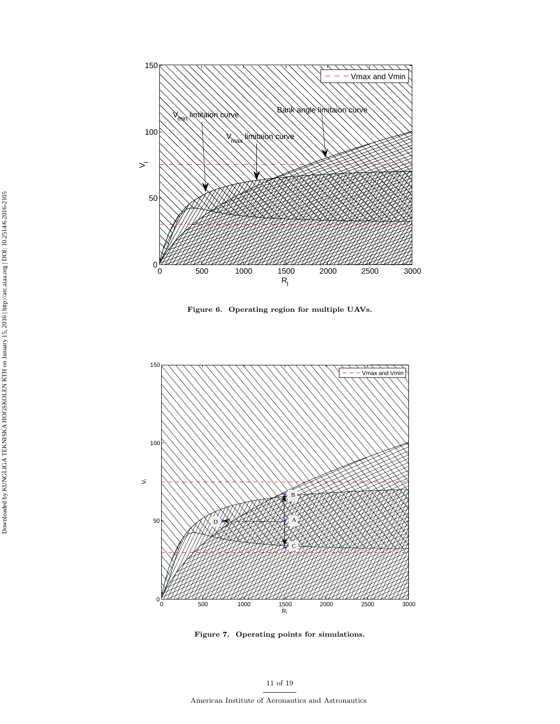

Figure 6. Operating region for multiple UAVs.



Figure 7. Operating points for simulations.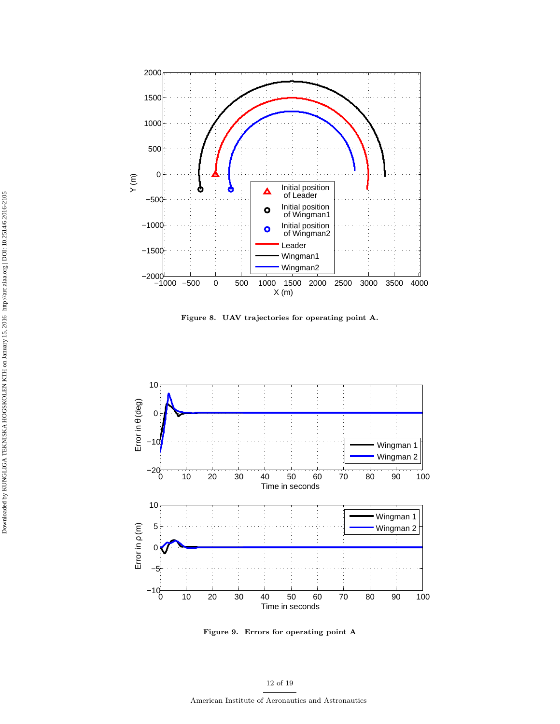

Figure 8. UAV trajectories for operating point A.



Figure 9. Errors for operating point A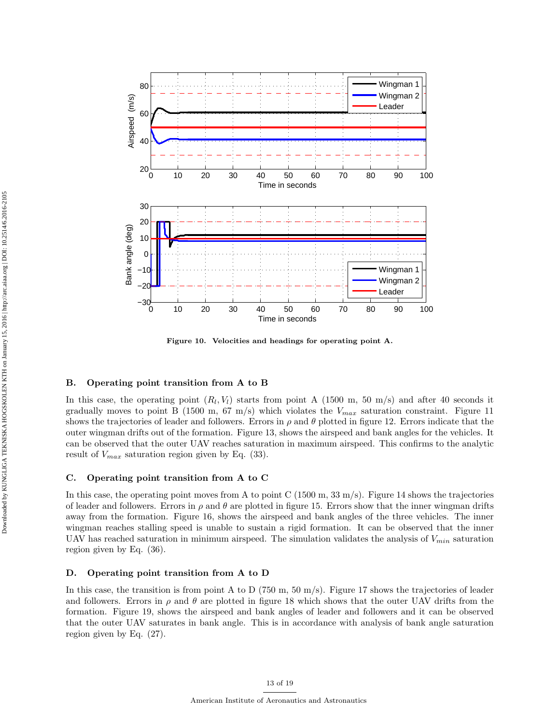

Figure 10. Velocities and headings for operating point A.

### B. Operating point transition from A to B

In this case, the operating point  $(R_l, V_l)$  starts from point A (1500 m, 50 m/s) and after 40 seconds it gradually moves to point B (1500 m, 67 m/s) which violates the  $V_{max}$  saturation constraint. Figure 11 shows the trajectories of leader and followers. Errors in  $\rho$  and  $\theta$  plotted in figure 12. Errors indicate that the outer wingman drifts out of the formation. Figure 13, shows the airspeed and bank angles for the vehicles. It can be observed that the outer UAV reaches saturation in maximum airspeed. This confirms to the analytic result of  $V_{max}$  saturation region given by Eq. (33).

### C. Operating point transition from A to C

In this case, the operating point moves from A to point C (1500 m,  $33 \text{ m/s}$ ). Figure 14 shows the trajectories of leader and followers. Errors in  $\rho$  and  $\theta$  are plotted in figure 15. Errors show that the inner wingman drifts away from the formation. Figure 16, shows the airspeed and bank angles of the three vehicles. The inner wingman reaches stalling speed is unable to sustain a rigid formation. It can be observed that the inner UAV has reached saturation in minimum airspeed. The simulation validates the analysis of  $V_{min}$  saturation region given by Eq. (36).

### D. Operating point transition from A to D

In this case, the transition is from point A to D (750 m, 50 m/s). Figure 17 shows the trajectories of leader and followers. Errors in  $\rho$  and  $\theta$  are plotted in figure 18 which shows that the outer UAV drifts from the formation. Figure 19, shows the airspeed and bank angles of leader and followers and it can be observed that the outer UAV saturates in bank angle. This is in accordance with analysis of bank angle saturation region given by Eq. (27).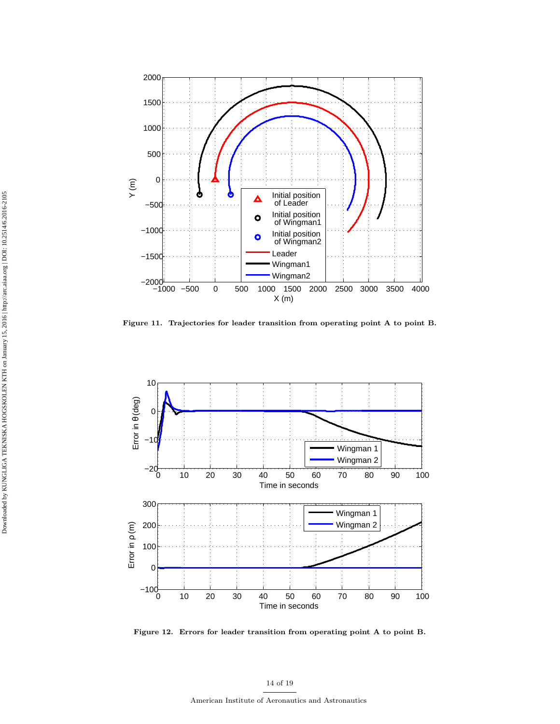

Figure 11. Trajectories for leader transition from operating point A to point B.



Figure 12. Errors for leader transition from operating point A to point B.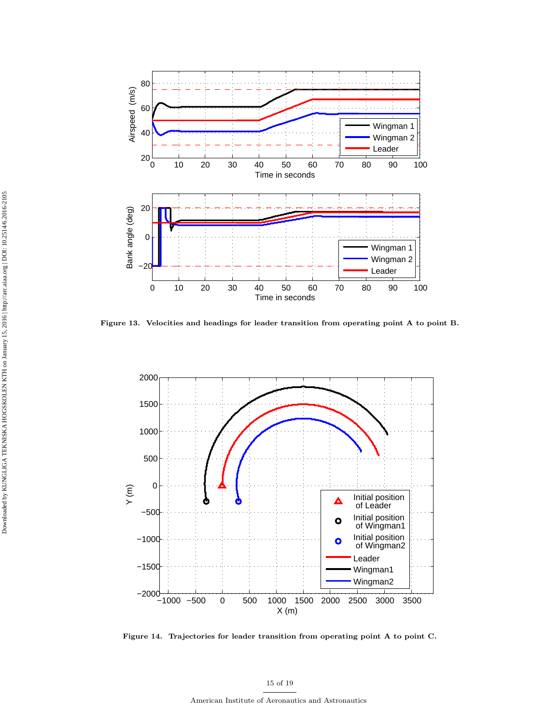

Figure 13. Velocities and headings for leader transition from operating point A to point B.



Figure 14. Trajectories for leader transition from operating point A to point C.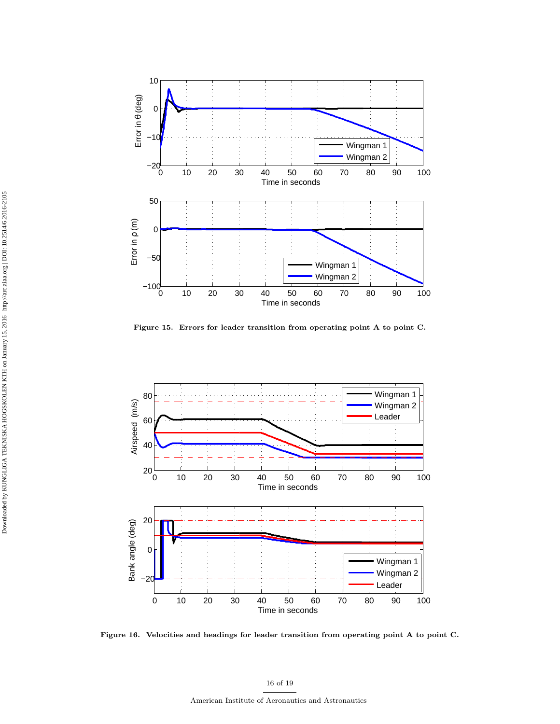

Figure 15. Errors for leader transition from operating point A to point C.



Figure 16. Velocities and headings for leader transition from operating point A to point C.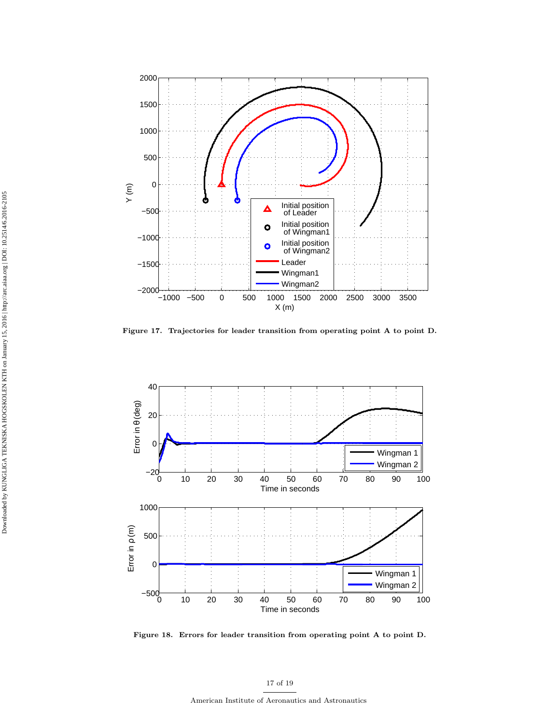

Figure 17. Trajectories for leader transition from operating point A to point D.



Figure 18. Errors for leader transition from operating point A to point D.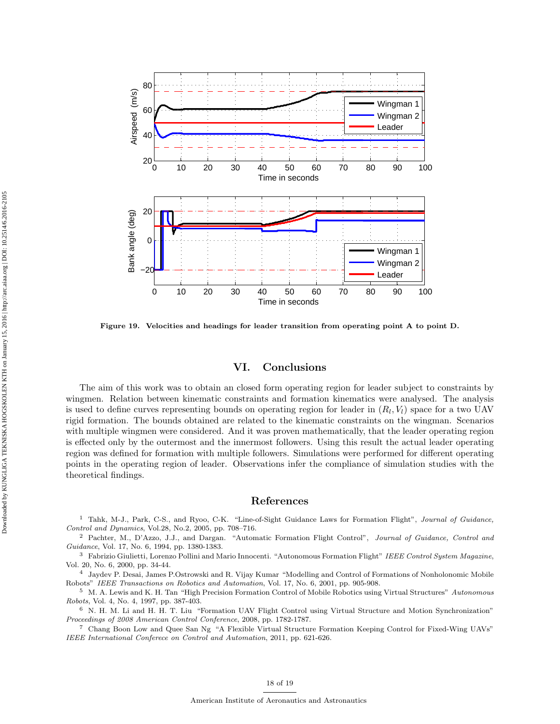

Figure 19. Velocities and headings for leader transition from operating point A to point D.

# VI. Conclusions

The aim of this work was to obtain an closed form operating region for leader subject to constraints by wingmen. Relation between kinematic constraints and formation kinematics were analysed. The analysis is used to define curves representing bounds on operating region for leader in  $(R_l, V_l)$  space for a two UAV rigid formation. The bounds obtained are related to the kinematic constraints on the wingman. Scenarios with multiple wingmen were considered. And it was proven mathematically, that the leader operating region is effected only by the outermost and the innermost followers. Using this result the actual leader operating region was defined for formation with multiple followers. Simulations were performed for different operating points in the operating region of leader. Observations infer the compliance of simulation studies with the theoretical findings.

### References

<sup>1</sup> Tahk, M-J., Park, C-S., and Ryoo, C-K. "Line-of-Sight Guidance Laws for Formation Flight", Journal of Guidance, Control and Dynamics, Vol.28, No.2, 2005, pp. 708–716.

<sup>2</sup> Pachter, M., D'Azzo, J.J., and Dargan. "Automatic Formation Flight Control", Journal of Guidance, Control and Guidance, Vol. 17, No. 6, 1994, pp. 1380-1383.

<sup>3</sup> Fabrizio Giulietti, Lorenzo Pollini and Mario Innocenti. "Autonomous Formation Flight" IEEE Control System Magazine, Vol. 20, No. 6, 2000, pp. 34-44.

<sup>4</sup> Jaydev P. Desai, James P.Ostrowski and R. Vijay Kumar "Modelling and Control of Formations of Nonholonomic Mobile Robots" IEEE Transactions on Robotics and Automation, Vol. 17, No. 6, 2001, pp. 905-908.

<sup>5</sup> M. A. Lewis and K. H. Tan "High Precision Formation Control of Mobile Robotics using Virtual Structures" Autonomous Robots, Vol. 4, No. 4, 1997, pp. 387-403.

<sup>6</sup> N. H. M. Li and H. H. T. Liu "Formation UAV Flight Control using Virtual Structure and Motion Synchronization" Proceedings of 2008 American Control Conference, 2008, pp. 1782-1787.

<sup>7</sup> Chang Boon Low and Quee San Ng "A Flexible Virtual Structure Formation Keeping Control for Fixed-Wing UAVs" IEEE International Conferece on Control and Automation, 2011, pp. 621-626.